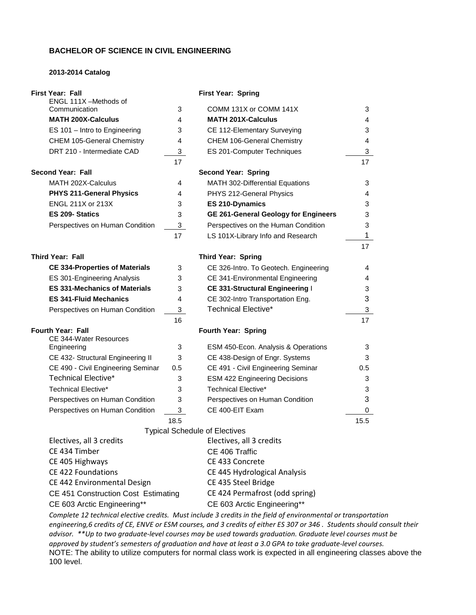#### **BACHELOR OF SCIENCE IN CIVIL ENGINEERING**

#### **2013-2014 Catalog**

## **First Year: Fall First Year: Spring** ENGL 111X –Methods of 3 COMM 131X or COMM 141X 3 **MATH 200X-Calculus** 4 **MATH 201X-Calculus** 4 ES 101 – Intro to Engineering 3 CE 112-Elementary Surveying 3 3 CHEM 105-General Chemistry 4 CHEM 106-General Chemistry 4 DRT 210 - Intermediate CAD 3 ES 201-Computer Techniques 3 3 17 **17** 17 **17 Second Year: Fall Second Year: Spring** MATH 202X-Calculus **4** MATH 302-Differential Equations 3 **PHYS 211-General Physics** 4 PHYS 212-General Physics 4 ENGL 211X or 213X 3 **ES 210-Dynamics** 3 **ES 209- Statics** 3 **GE 261-General Geology for Engineers** 3 Perspectives on Human Condition 3 Perspectives on the Human Condition 3 17 LS 101X-Library Info and Research 1 17 **Third Year: Fall Third Year: Spring CE 334-Properties of Materials** 3 CE 326-Intro. To Geotech. Engineering 4 ES 301-Engineering Analysis 3 CE 341-Environmental Engineering 4 **ES 331-Mechanics of Materials** 3 **CE 331-Structural Engineering** I 3 **ES 341-Fluid Mechanics** 4 CE 302-Intro Transportation Eng. 3 Perspectives on Human Condition 3 Technical Elective\* 3  $16$  and  $17$ **Fourth Year: Fall Fourth Year: Spring** CE 344-Water Resources Engineering 3 ESM 450-Econ. Analysis & Operations 3 CE 432- Structural Engineering II 3 CE 438-Design of Engr. Systems 3 CE 490 - Civil Engineering Seminar 0.5 CE 491 - Civil Engineering Seminar 0.5 Technical Elective\* 3 ESM 422 Engineering Decisions 3 Technical Elective\* 3 Technical Elective\* 3 Perspectives on Human Condition 3 Perspectives on Human Condition 3 Perspectives on Human Condition  $\overline{3}$  CE 400-EIT Exam  $\overline{0}$  $18.5$  15.5 Typical Schedule of Electives Electives, all 3 credits Electives, all 3 credits CE 434 Timber CE 406 Traffic CE 405 Highways CE 433 Concrete CE 422 Foundations CE 445 Hydrological Analysis CE 442 Environmental Design CE 435 Steel Bridge CE 451 Construction Cost Estimating CE 424 Permafrost (odd spring) CE 603 Arctic Engineering\*\* CE 603 Arctic Engineering\*\*

*Complete 12 technical elective credits. Must include 3 credits in the field of environmental or transportation engineering,6 credits of CE, ENVE or ESM courses, and 3 credits of either ES 307 or 346 . Students should consult their advisor. \*\*Up to two graduate-level courses may be used towards graduation. Graduate level courses must be approved by student's semesters of graduation and have at least a 3.0 GPA to take graduate-level courses.* NOTE: The ability to utilize computers for normal class work is expected in all engineering classes above the 100 level.